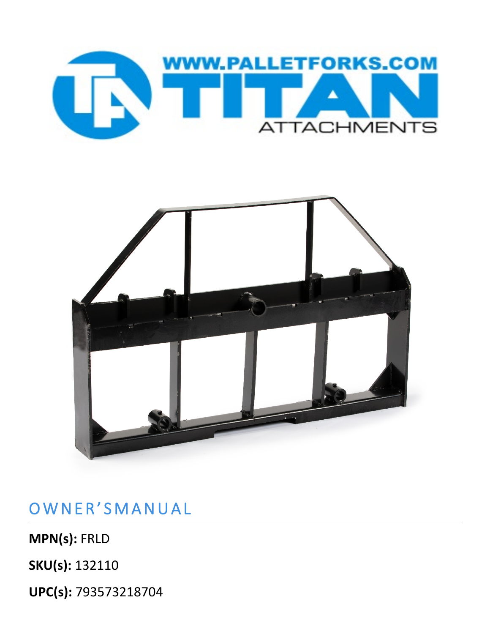



OWNER'SMANUAL

**MPN(s):** FRLD

**SKU(s):** 132110

**UPC(s):** 793573218704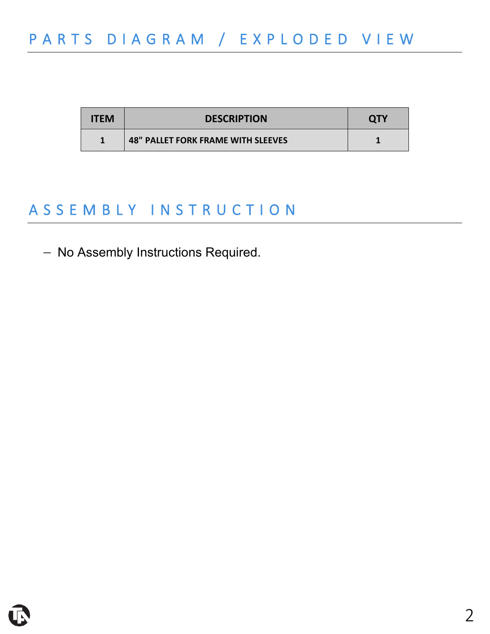| <b>ITEM</b> | <b>DESCRIPTION</b>                        | <b>QTY</b> |
|-------------|-------------------------------------------|------------|
|             | <b>48" PALLET FORK FRAME WITH SLEEVES</b> |            |

## ASSEMBLY INSTRUCTION

- No Assembly Instructions Required.